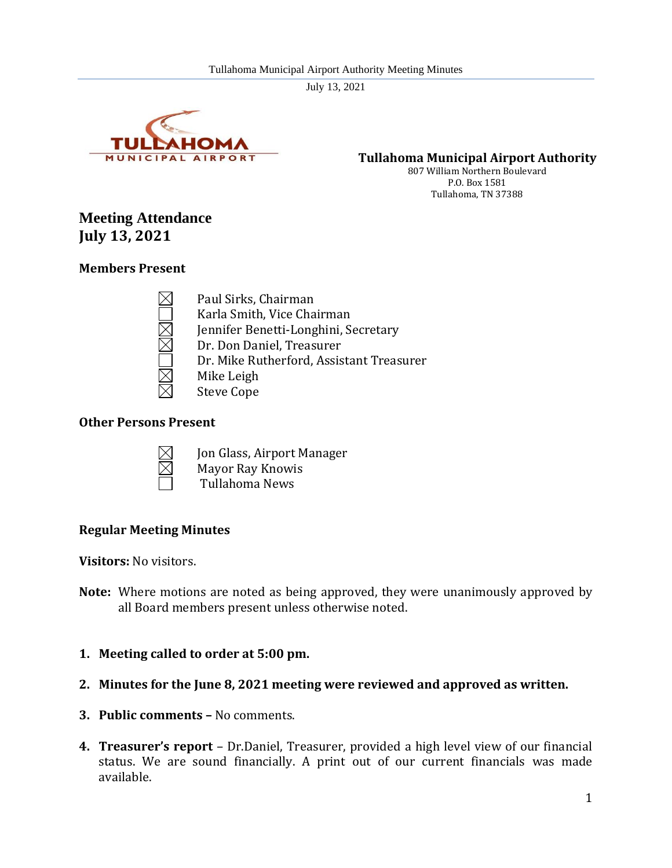

**Tullahoma Municipal Airport Authority**

807 William Northern Boulevard P.O. Box 1581 Tullahoma, TN 37388

# **Meeting Attendance July 13, 2021**

### **Members Present**

Paul Sirks, Chairman Karla Smith, Vice Chairman Jennifer Benetti-Longhini, Secretary Dr. Don Daniel, Treasurer Dr. Mike Rutherford, Assistant Treasurer Mike Leigh Steve Cope

### **Other Persons Present**



Jon Glass, Airport Manager Mayor Ray Knowis Tullahoma News

### **Regular Meeting Minutes**

**Visitors:** No visitors.

- **Note:** Where motions are noted as being approved, they were unanimously approved by all Board members present unless otherwise noted.
- **1. Meeting called to order at 5:00 pm.**
- **2. Minutes for the June 8, 2021 meeting were reviewed and approved as written.**
- **3. Public comments –** No comments.
- **4. Treasurer's report**  Dr.Daniel, Treasurer, provided a high level view of our financial status. We are sound financially. A print out of our current financials was made available.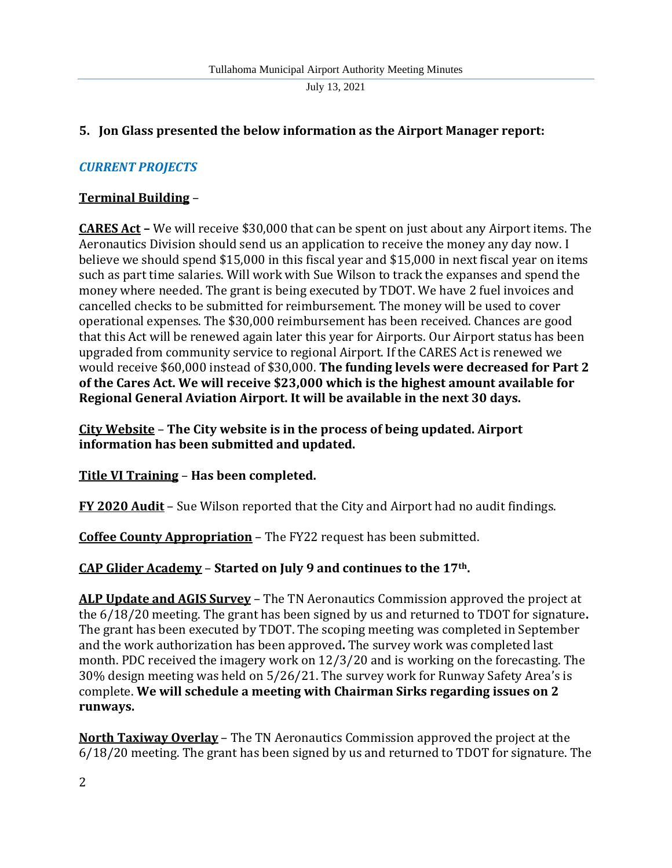### **5. Jon Glass presented the below information as the Airport Manager report:**

### *CURRENT PROJECTS*

### **Terminal Building** –

**CARES Act –** We will receive \$30,000 that can be spent on just about any Airport items. The Aeronautics Division should send us an application to receive the money any day now. I believe we should spend \$15,000 in this fiscal year and \$15,000 in next fiscal year on items such as part time salaries. Will work with Sue Wilson to track the expanses and spend the money where needed. The grant is being executed by TDOT. We have 2 fuel invoices and cancelled checks to be submitted for reimbursement. The money will be used to cover operational expenses. The \$30,000 reimbursement has been received. Chances are good that this Act will be renewed again later this year for Airports. Our Airport status has been upgraded from community service to regional Airport. If the CARES Act is renewed we would receive \$60,000 instead of \$30,000. **The funding levels were decreased for Part 2 of the Cares Act. We will receive \$23,000 which is the highest amount available for Regional General Aviation Airport. It will be available in the next 30 days.**

**City Website** – **The City website is in the process of being updated. Airport information has been submitted and updated.**

**Title VI Training** – **Has been completed.**

**FY 2020 Audit** – Sue Wilson reported that the City and Airport had no audit findings.

**Coffee County Appropriation** – The FY22 request has been submitted.

**CAP Glider Academy** – **Started on July 9 and continues to the 17th.**

**ALP Update and AGIS Survey** – The TN Aeronautics Commission approved the project at the 6/18/20 meeting. The grant has been signed by us and returned to TDOT for signature**.** The grant has been executed by TDOT. The scoping meeting was completed in September and the work authorization has been approved**.** The survey work was completed last month. PDC received the imagery work on 12/3/20 and is working on the forecasting. The 30% design meeting was held on 5/26/21. The survey work for Runway Safety Area's is complete. **We will schedule a meeting with Chairman Sirks regarding issues on 2 runways.**

**North Taxiway Overlay** – The TN Aeronautics Commission approved the project at the 6/18/20 meeting. The grant has been signed by us and returned to TDOT for signature. The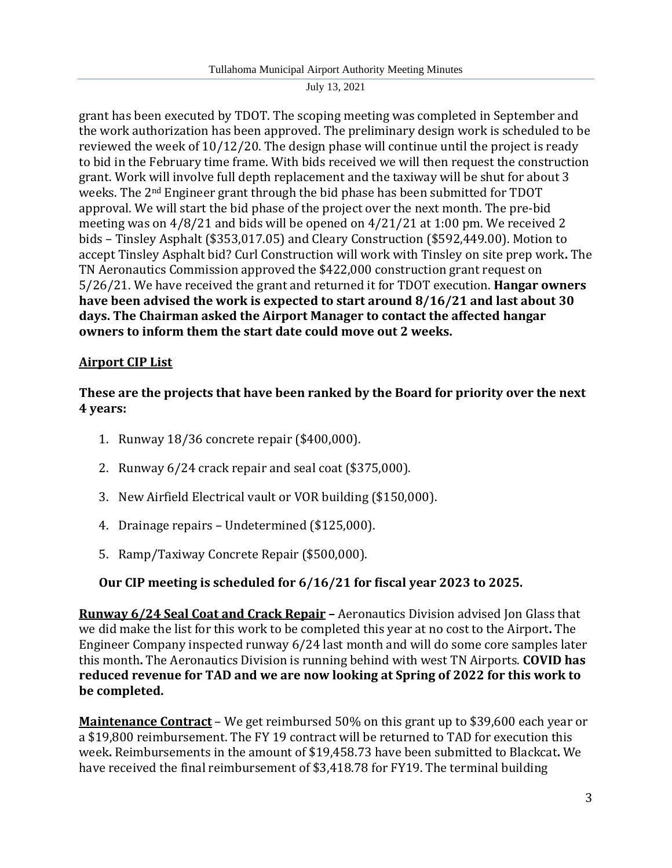grant has been executed by TDOT. The scoping meeting was completed in September and the work authorization has been approved. The preliminary design work is scheduled to be reviewed the week of 10/12/20. The design phase will continue until the project is ready to bid in the February time frame. With bids received we will then request the construction grant. Work will involve full depth replacement and the taxiway will be shut for about 3 weeks. The 2nd Engineer grant through the bid phase has been submitted for TDOT approval. We will start the bid phase of the project over the next month. The pre-bid meeting was on 4/8/21 and bids will be opened on 4/21/21 at 1:00 pm. We received 2 bids – Tinsley Asphalt (\$353,017.05) and Cleary Construction (\$592,449.00). Motion to accept Tinsley Asphalt bid? Curl Construction will work with Tinsley on site prep work**.** The TN Aeronautics Commission approved the \$422,000 construction grant request on 5/26/21. We have received the grant and returned it for TDOT execution. **Hangar owners have been advised the work is expected to start around 8/16/21 and last about 30 days. The Chairman asked the Airport Manager to contact the affected hangar owners to inform them the start date could move out 2 weeks.**

## **Airport CIP List**

### **These are the projects that have been ranked by the Board for priority over the next 4 years:**

- 1. Runway 18/36 concrete repair (\$400,000).
- 2. Runway 6/24 crack repair and seal coat (\$375,000).
- 3. New Airfield Electrical vault or VOR building (\$150,000).
- 4. Drainage repairs Undetermined (\$125,000).
- 5. Ramp/Taxiway Concrete Repair (\$500,000).

### **Our CIP meeting is scheduled for 6/16/21 for fiscal year 2023 to 2025.**

**Runway 6/24 Seal Coat and Crack Repair –** Aeronautics Division advised Jon Glass that we did make the list for this work to be completed this year at no cost to the Airport**.** The Engineer Company inspected runway 6/24 last month and will do some core samples later this month**.** The Aeronautics Division is running behind with west TN Airports. **COVID has reduced revenue for TAD and we are now looking at Spring of 2022 for this work to be completed.** 

**Maintenance Contract** – We get reimbursed 50% on this grant up to \$39,600 each year or a \$19,800 reimbursement. The FY 19 contract will be returned to TAD for execution this week**.** Reimbursements in the amount of \$19,458.73 have been submitted to Blackcat**.** We have received the final reimbursement of \$3,418.78 for FY19. The terminal building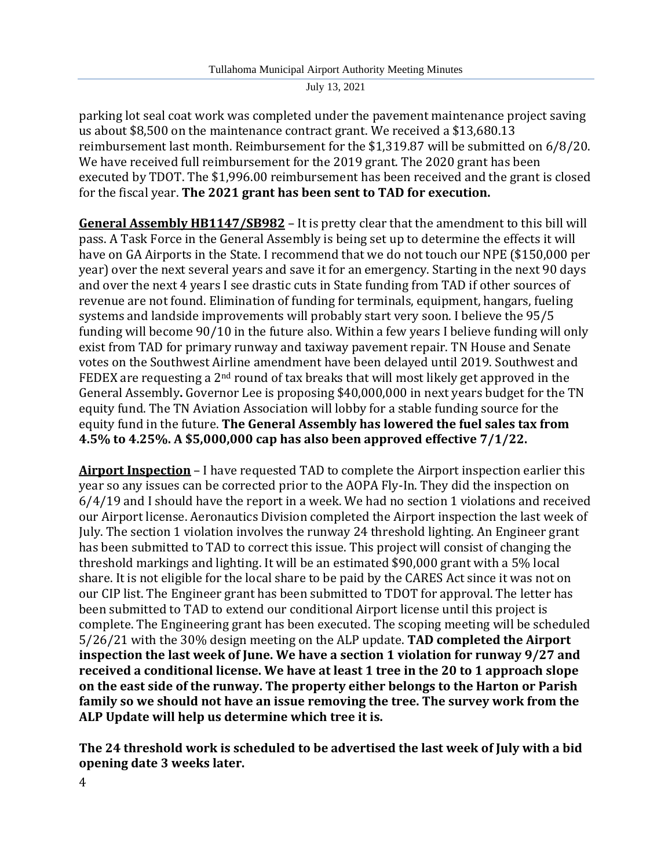parking lot seal coat work was completed under the pavement maintenance project saving us about \$8,500 on the maintenance contract grant. We received a \$13,680.13 reimbursement last month. Reimbursement for the \$1,319.87 will be submitted on 6/8/20. We have received full reimbursement for the 2019 grant. The 2020 grant has been executed by TDOT. The \$1,996.00 reimbursement has been received and the grant is closed for the fiscal year. **The 2021 grant has been sent to TAD for execution.**

**General Assembly HB1147/SB982** – It is pretty clear that the amendment to this bill will pass. A Task Force in the General Assembly is being set up to determine the effects it will have on GA Airports in the State. I recommend that we do not touch our NPE (\$150,000 per year) over the next several years and save it for an emergency. Starting in the next 90 days and over the next 4 years I see drastic cuts in State funding from TAD if other sources of revenue are not found. Elimination of funding for terminals, equipment, hangars, fueling systems and landside improvements will probably start very soon. I believe the 95/5 funding will become 90/10 in the future also. Within a few years I believe funding will only exist from TAD for primary runway and taxiway pavement repair. TN House and Senate votes on the Southwest Airline amendment have been delayed until 2019. Southwest and FEDEX are requesting a  $2<sup>nd</sup>$  round of tax breaks that will most likely get approved in the General Assembly**.** Governor Lee is proposing \$40,000,000 in next years budget for the TN equity fund. The TN Aviation Association will lobby for a stable funding source for the equity fund in the future. **The General Assembly has lowered the fuel sales tax from 4.5% to 4.25%. A \$5,000,000 cap has also been approved effective 7/1/22.**

**Airport Inspection** – I have requested TAD to complete the Airport inspection earlier this year so any issues can be corrected prior to the AOPA Fly-In. They did the inspection on 6/4/19 and I should have the report in a week. We had no section 1 violations and received our Airport license. Aeronautics Division completed the Airport inspection the last week of July. The section 1 violation involves the runway 24 threshold lighting. An Engineer grant has been submitted to TAD to correct this issue. This project will consist of changing the threshold markings and lighting. It will be an estimated \$90,000 grant with a 5% local share. It is not eligible for the local share to be paid by the CARES Act since it was not on our CIP list. The Engineer grant has been submitted to TDOT for approval. The letter has been submitted to TAD to extend our conditional Airport license until this project is complete. The Engineering grant has been executed. The scoping meeting will be scheduled 5/26/21 with the 30% design meeting on the ALP update. **TAD completed the Airport inspection the last week of June. We have a section 1 violation for runway 9/27 and received a conditional license. We have at least 1 tree in the 20 to 1 approach slope on the east side of the runway. The property either belongs to the Harton or Parish family so we should not have an issue removing the tree. The survey work from the ALP Update will help us determine which tree it is.**

**The 24 threshold work is scheduled to be advertised the last week of July with a bid opening date 3 weeks later.**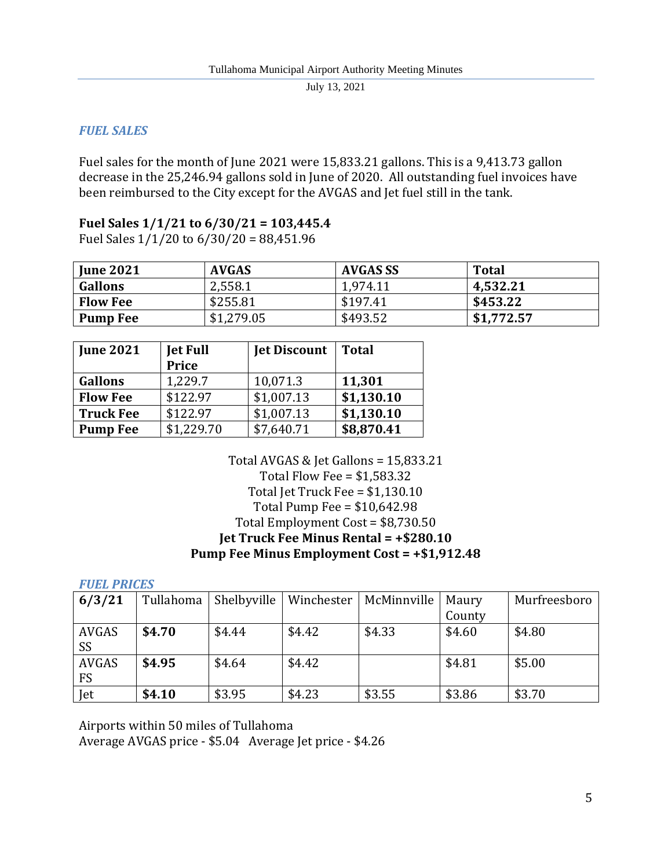## *FUEL SALES*

Fuel sales for the month of June 2021 were 15,833.21 gallons. This is a 9,413.73 gallon decrease in the 25,246.94 gallons sold in June of 2020. All outstanding fuel invoices have been reimbursed to the City except for the AVGAS and Jet fuel still in the tank.

## **Fuel Sales 1/1/21 to 6/30/21 = 103,445.4**

Fuel Sales 1/1/20 to 6/30/20 = 88,451.96

| <b>June 2021</b> | <b>AVGAS</b> | AVGAS SS | <b>Total</b> |
|------------------|--------------|----------|--------------|
| <b>Gallons</b>   | 2,558.1      | 1.974.11 | 4,532.21     |
| <b>Flow Fee</b>  | \$255.81     | \$197.41 | \$453.22     |
| <b>Pump Fee</b>  | \$1,279.05   | \$493.52 | \$1,772.57   |

| <b>June 2021</b> | <b>Jet Full</b><br><b>Price</b> | <b>Jet Discount</b> | <b>Total</b> |
|------------------|---------------------------------|---------------------|--------------|
| <b>Gallons</b>   | 1,229.7                         | 10,071.3            | 11,301       |
| <b>Flow Fee</b>  | \$122.97                        | \$1,007.13          | \$1,130.10   |
| <b>Truck Fee</b> | \$122.97                        | \$1,007.13          | \$1,130.10   |
| <b>Pump Fee</b>  | \$1,229.70                      | \$7,640.71          | \$8,870.41   |

Total AVGAS & Jet Gallons = 15,833.21 Total Flow Fee = \$1,583.32 Total Jet Truck Fee = \$1,130.10 Total Pump Fee = \$10,642.98 Total Employment Cost = \$8,730.50 **Jet Truck Fee Minus Rental = +\$280.10 Pump Fee Minus Employment Cost = +\$1,912.48**

|  |  | <b>FUEL PRICES</b> |
|--|--|--------------------|
|--|--|--------------------|

| 6/3/21       | Tullahoma | Shelbyville | Winchester | McMinnville | Maury  | Murfreesboro |
|--------------|-----------|-------------|------------|-------------|--------|--------------|
|              |           |             |            |             | County |              |
| AVGAS        | \$4.70    | \$4.44      | \$4.42     | \$4.33      | \$4.60 | \$4.80       |
| SS           |           |             |            |             |        |              |
| <b>AVGAS</b> | \$4.95    | \$4.64      | \$4.42     |             | \$4.81 | \$5.00       |
| FS           |           |             |            |             |        |              |
| Jet          | \$4.10    | \$3.95      | \$4.23     | \$3.55      | \$3.86 | \$3.70       |

Airports within 50 miles of Tullahoma Average AVGAS price - \$5.04 Average Jet price - \$4.26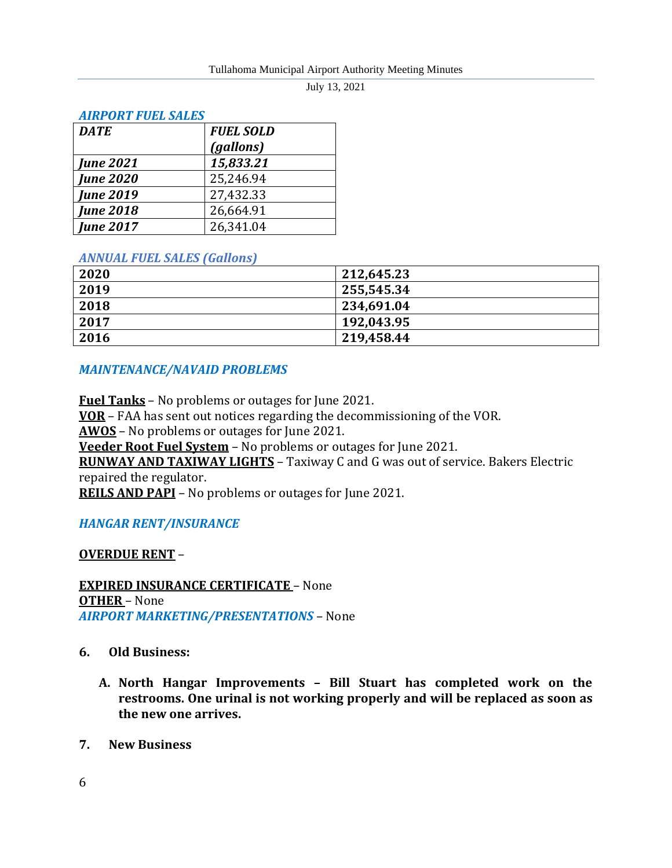| лим оми говь эльвэ |                  |  |
|--------------------|------------------|--|
| <b>DATE</b>        | <b>FUEL SOLD</b> |  |
|                    | (gallons)        |  |
| <b>June 2021</b>   | 15,833.21        |  |
| <b>June 2020</b>   | 25,246.94        |  |
| <b>June 2019</b>   | 27,432.33        |  |
| <b>June 2018</b>   | 26,664.91        |  |
| <b>June 2017</b>   | 26,341.04        |  |

### *AIRPORT FUEL SALES*

#### *ANNUAL FUEL SALES (Gallons)*

| 2020 | 212,645.23 |
|------|------------|
| 2019 | 255,545.34 |
| 2018 | 234,691.04 |
| 2017 | 192,043.95 |
| 2016 | 219,458.44 |

### *MAINTENANCE/NAVAID PROBLEMS*

**Fuel Tanks** – No problems or outages for June 2021. **VOR** – FAA has sent out notices regarding the decommissioning of the VOR. **AWOS** – No problems or outages for June 2021. **Veeder Root Fuel System** – No problems or outages for June 2021. **RUNWAY AND TAXIWAY LIGHTS** – Taxiway C and G was out of service. Bakers Electric repaired the regulator. **REILS AND PAPI** – No problems or outages for June 2021.

### *HANGAR RENT/INSURANCE*

### **OVERDUE RENT** –

**EXPIRED INSURANCE CERTIFICATE** – None **OTHER** – None *AIRPORT MARKETING/PRESENTATIONS* – None

- **6. Old Business:**
	- **A. North Hangar Improvements – Bill Stuart has completed work on the restrooms. One urinal is not working properly and will be replaced as soon as the new one arrives.**
- **7. New Business**